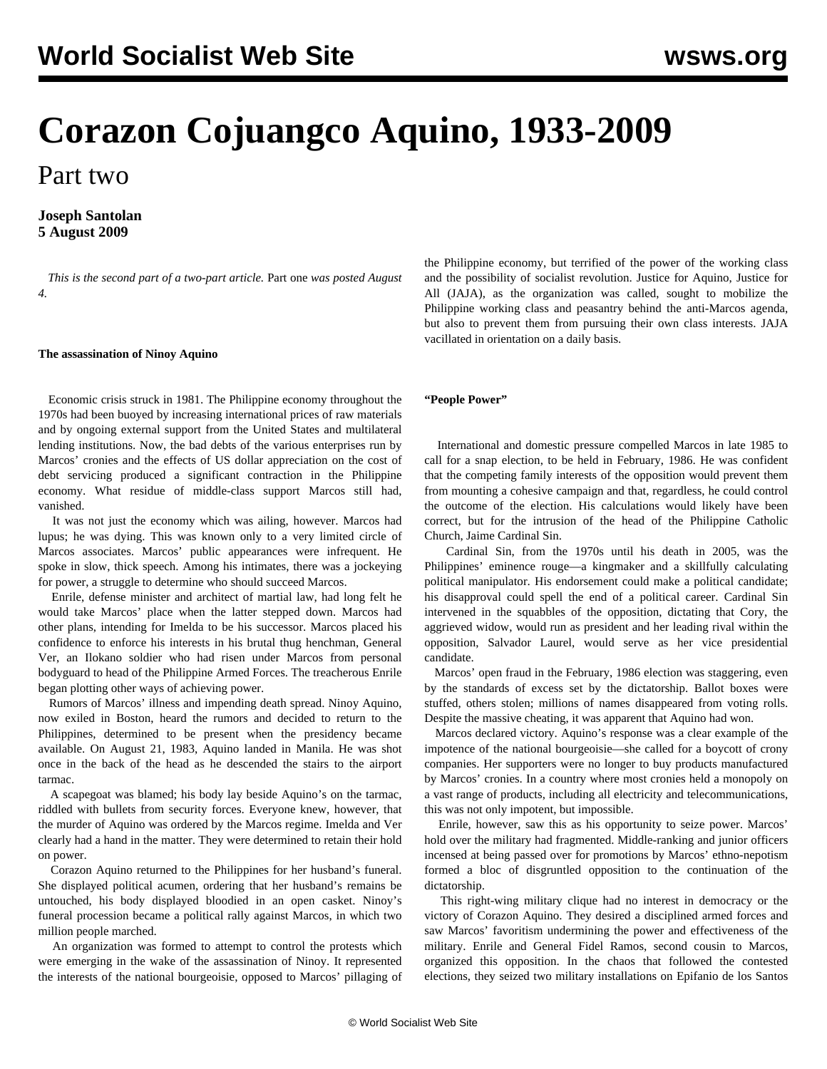# **Corazon Cojuangco Aquino, 1933-2009**

Part two

### **Joseph Santolan 5 August 2009**

 *This is the second part of a two-part article.* [Part one](/en/articles/2009/aug2009/cory-a04.shtml) *was posted August 4.*

#### **The assassination of Ninoy Aquino**

 Economic crisis struck in 1981. The Philippine economy throughout the 1970s had been buoyed by increasing international prices of raw materials and by ongoing external support from the United States and multilateral lending institutions. Now, the bad debts of the various enterprises run by Marcos' cronies and the effects of US dollar appreciation on the cost of debt servicing produced a significant contraction in the Philippine economy. What residue of middle-class support Marcos still had, vanished.

 It was not just the economy which was ailing, however. Marcos had lupus; he was dying. This was known only to a very limited circle of Marcos associates. Marcos' public appearances were infrequent. He spoke in slow, thick speech. Among his intimates, there was a jockeying for power, a struggle to determine who should succeed Marcos.

 Enrile, defense minister and architect of martial law, had long felt he would take Marcos' place when the latter stepped down. Marcos had other plans, intending for Imelda to be his successor. Marcos placed his confidence to enforce his interests in his brutal thug henchman, General Ver, an Ilokano soldier who had risen under Marcos from personal bodyguard to head of the Philippine Armed Forces. The treacherous Enrile began plotting other ways of achieving power.

 Rumors of Marcos' illness and impending death spread. Ninoy Aquino, now exiled in Boston, heard the rumors and decided to return to the Philippines, determined to be present when the presidency became available. On August 21, 1983, Aquino landed in Manila. He was shot once in the back of the head as he descended the stairs to the airport tarmac.

 A scapegoat was blamed; his body lay beside Aquino's on the tarmac, riddled with bullets from security forces. Everyone knew, however, that the murder of Aquino was ordered by the Marcos regime. Imelda and Ver clearly had a hand in the matter. They were determined to retain their hold on power.

 Corazon Aquino returned to the Philippines for her husband's funeral. She displayed political acumen, ordering that her husband's remains be untouched, his body displayed bloodied in an open casket. Ninoy's funeral procession became a political rally against Marcos, in which two million people marched.

 An organization was formed to attempt to control the protests which were emerging in the wake of the assassination of Ninoy. It represented the interests of the national bourgeoisie, opposed to Marcos' pillaging of the Philippine economy, but terrified of the power of the working class and the possibility of socialist revolution. Justice for Aquino, Justice for All (JAJA), as the organization was called, sought to mobilize the Philippine working class and peasantry behind the anti-Marcos agenda, but also to prevent them from pursuing their own class interests. JAJA vacillated in orientation on a daily basis.

#### **"People Power"**

 International and domestic pressure compelled Marcos in late 1985 to call for a snap election, to be held in February, 1986. He was confident that the competing family interests of the opposition would prevent them from mounting a cohesive campaign and that, regardless, he could control the outcome of the election. His calculations would likely have been correct, but for the intrusion of the head of the Philippine Catholic Church, Jaime Cardinal Sin.

 Cardinal Sin, from the 1970s until his death in 2005, was the Philippines' eminence rouge—a kingmaker and a skillfully calculating political manipulator. His endorsement could make a political candidate; his disapproval could spell the end of a political career. Cardinal Sin intervened in the squabbles of the opposition, dictating that Cory, the aggrieved widow, would run as president and her leading rival within the opposition, Salvador Laurel, would serve as her vice presidential candidate.

 Marcos' open fraud in the February, 1986 election was staggering, even by the standards of excess set by the dictatorship. Ballot boxes were stuffed, others stolen; millions of names disappeared from voting rolls. Despite the massive cheating, it was apparent that Aquino had won.

 Marcos declared victory. Aquino's response was a clear example of the impotence of the national bourgeoisie—she called for a boycott of crony companies. Her supporters were no longer to buy products manufactured by Marcos' cronies. In a country where most cronies held a monopoly on a vast range of products, including all electricity and telecommunications, this was not only impotent, but impossible.

 Enrile, however, saw this as his opportunity to seize power. Marcos' hold over the military had fragmented. Middle-ranking and junior officers incensed at being passed over for promotions by Marcos' ethno-nepotism formed a bloc of disgruntled opposition to the continuation of the dictatorship.

 This right-wing military clique had no interest in democracy or the victory of Corazon Aquino. They desired a disciplined armed forces and saw Marcos' favoritism undermining the power and effectiveness of the military. Enrile and General Fidel Ramos, second cousin to Marcos, organized this opposition. In the chaos that followed the contested elections, they seized two military installations on Epifanio de los Santos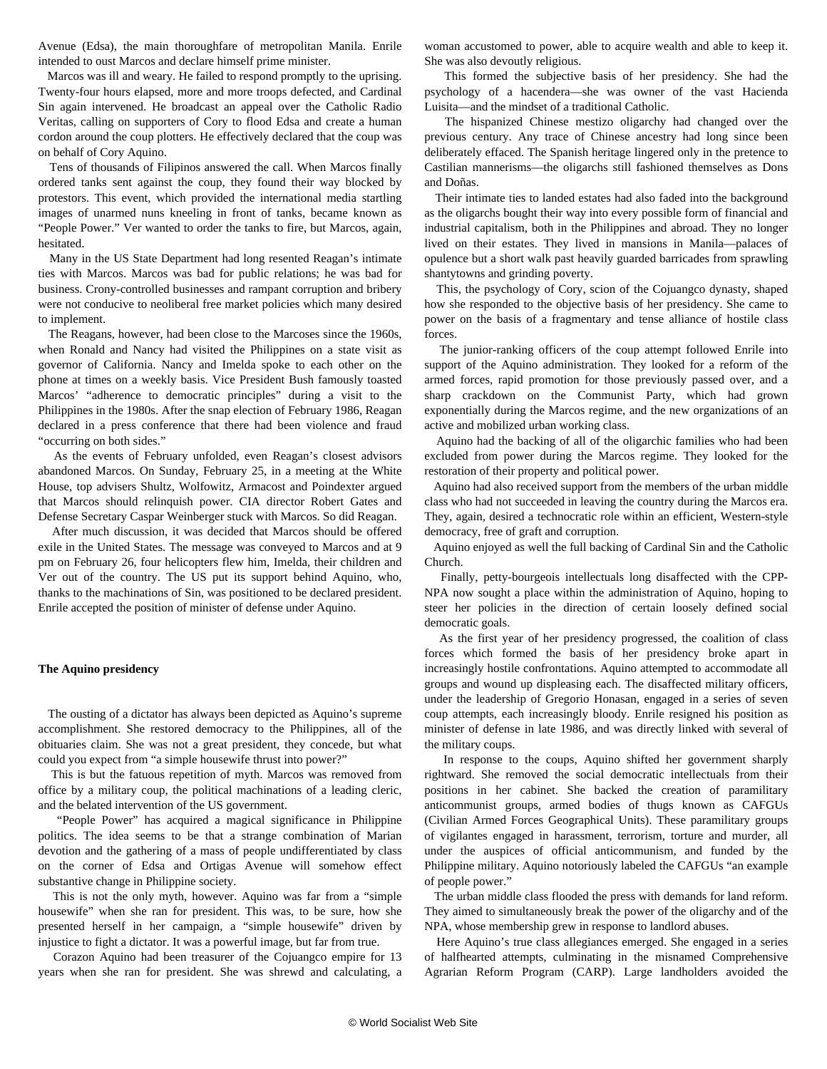Avenue (Edsa), the main thoroughfare of metropolitan Manila. Enrile intended to oust Marcos and declare himself prime minister.

 Marcos was ill and weary. He failed to respond promptly to the uprising. Twenty-four hours elapsed, more and more troops defected, and Cardinal Sin again intervened. He broadcast an appeal over the Catholic Radio Veritas, calling on supporters of Cory to flood Edsa and create a human cordon around the coup plotters. He effectively declared that the coup was on behalf of Cory Aquino.

 Tens of thousands of Filipinos answered the call. When Marcos finally ordered tanks sent against the coup, they found their way blocked by protestors. This event, which provided the international media startling images of unarmed nuns kneeling in front of tanks, became known as "People Power." Ver wanted to order the tanks to fire, but Marcos, again, hesitated.

 Many in the US State Department had long resented Reagan's intimate ties with Marcos. Marcos was bad for public relations; he was bad for business. Crony-controlled businesses and rampant corruption and bribery were not conducive to neoliberal free market policies which many desired to implement.

 The Reagans, however, had been close to the Marcoses since the 1960s, when Ronald and Nancy had visited the Philippines on a state visit as governor of California. Nancy and Imelda spoke to each other on the phone at times on a weekly basis. Vice President Bush famously toasted Marcos' "adherence to democratic principles" during a visit to the Philippines in the 1980s. After the snap election of February 1986, Reagan declared in a press conference that there had been violence and fraud "occurring on both sides."

 As the events of February unfolded, even Reagan's closest advisors abandoned Marcos. On Sunday, February 25, in a meeting at the White House, top advisers Shultz, Wolfowitz, Armacost and Poindexter argued that Marcos should relinquish power. CIA director Robert Gates and Defense Secretary Caspar Weinberger stuck with Marcos. So did Reagan.

 After much discussion, it was decided that Marcos should be offered exile in the United States. The message was conveyed to Marcos and at 9 pm on February 26, four helicopters flew him, Imelda, their children and Ver out of the country. The US put its support behind Aquino, who, thanks to the machinations of Sin, was positioned to be declared president. Enrile accepted the position of minister of defense under Aquino.

#### **The Aquino presidency**

 The ousting of a dictator has always been depicted as Aquino's supreme accomplishment. She restored democracy to the Philippines, all of the obituaries claim. She was not a great president, they concede, but what could you expect from "a simple housewife thrust into power?"

 This is but the fatuous repetition of myth. Marcos was removed from office by a military coup, the political machinations of a leading cleric, and the belated intervention of the US government.

 "People Power" has acquired a magical significance in Philippine politics. The idea seems to be that a strange combination of Marian devotion and the gathering of a mass of people undifferentiated by class on the corner of Edsa and Ortigas Avenue will somehow effect substantive change in Philippine society.

 This is not the only myth, however. Aquino was far from a "simple housewife" when she ran for president. This was, to be sure, how she presented herself in her campaign, a "simple housewife" driven by injustice to fight a dictator. It was a powerful image, but far from true.

 Corazon Aquino had been treasurer of the Cojuangco empire for 13 years when she ran for president. She was shrewd and calculating, a

woman accustomed to power, able to acquire wealth and able to keep it. She was also devoutly religious.

 This formed the subjective basis of her presidency. She had the psychology of a hacendera—she was owner of the vast Hacienda Luisita—and the mindset of a traditional Catholic.

 The hispanized Chinese mestizo oligarchy had changed over the previous century. Any trace of Chinese ancestry had long since been deliberately effaced. The Spanish heritage lingered only in the pretence to Castilian mannerisms—the oligarchs still fashioned themselves as Dons and Doñas.

 Their intimate ties to landed estates had also faded into the background as the oligarchs bought their way into every possible form of financial and industrial capitalism, both in the Philippines and abroad. They no longer lived on their estates. They lived in mansions in Manila—palaces of opulence but a short walk past heavily guarded barricades from sprawling shantytowns and grinding poverty.

 This, the psychology of Cory, scion of the Cojuangco dynasty, shaped how she responded to the objective basis of her presidency. She came to power on the basis of a fragmentary and tense alliance of hostile class forces.

 The junior-ranking officers of the coup attempt followed Enrile into support of the Aquino administration. They looked for a reform of the armed forces, rapid promotion for those previously passed over, and a sharp crackdown on the Communist Party, which had grown exponentially during the Marcos regime, and the new organizations of an active and mobilized urban working class.

 Aquino had the backing of all of the oligarchic families who had been excluded from power during the Marcos regime. They looked for the restoration of their property and political power.

 Aquino had also received support from the members of the urban middle class who had not succeeded in leaving the country during the Marcos era. They, again, desired a technocratic role within an efficient, Western-style democracy, free of graft and corruption.

 Aquino enjoyed as well the full backing of Cardinal Sin and the Catholic Church.

 Finally, petty-bourgeois intellectuals long disaffected with the CPP-NPA now sought a place within the administration of Aquino, hoping to steer her policies in the direction of certain loosely defined social democratic goals.

 As the first year of her presidency progressed, the coalition of class forces which formed the basis of her presidency broke apart in increasingly hostile confrontations. Aquino attempted to accommodate all groups and wound up displeasing each. The disaffected military officers, under the leadership of Gregorio Honasan, engaged in a series of seven coup attempts, each increasingly bloody. Enrile resigned his position as minister of defense in late 1986, and was directly linked with several of the military coups.

 In response to the coups, Aquino shifted her government sharply rightward. She removed the social democratic intellectuals from their positions in her cabinet. She backed the creation of paramilitary anticommunist groups, armed bodies of thugs known as CAFGUs (Civilian Armed Forces Geographical Units). These paramilitary groups of vigilantes engaged in harassment, terrorism, torture and murder, all under the auspices of official anticommunism, and funded by the Philippine military. Aquino notoriously labeled the CAFGUs "an example of people power."

 The urban middle class flooded the press with demands for land reform. They aimed to simultaneously break the power of the oligarchy and of the NPA, whose membership grew in response to landlord abuses.

 Here Aquino's true class allegiances emerged. She engaged in a series of halfhearted attempts, culminating in the misnamed Comprehensive Agrarian Reform Program (CARP). Large landholders avoided the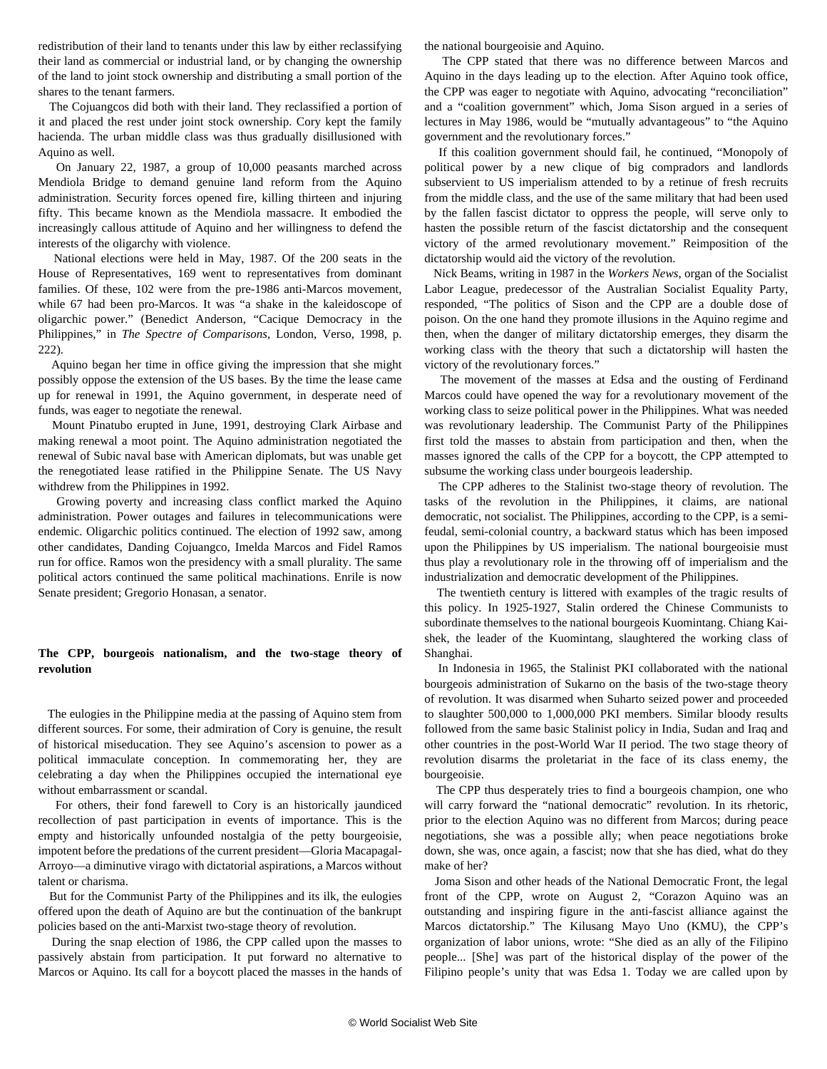redistribution of their land to tenants under this law by either reclassifying their land as commercial or industrial land, or by changing the ownership of the land to joint stock ownership and distributing a small portion of the shares to the tenant farmers.

 The Cojuangcos did both with their land. They reclassified a portion of it and placed the rest under joint stock ownership. Cory kept the family hacienda. The urban middle class was thus gradually disillusioned with Aquino as well.

 On January 22, 1987, a group of 10,000 peasants marched across Mendiola Bridge to demand genuine land reform from the Aquino administration. Security forces opened fire, killing thirteen and injuring fifty. This became known as the Mendiola massacre. It embodied the increasingly callous attitude of Aquino and her willingness to defend the interests of the oligarchy with violence.

 National elections were held in May, 1987. Of the 200 seats in the House of Representatives, 169 went to representatives from dominant families. Of these, 102 were from the pre-1986 anti-Marcos movement, while 67 had been pro-Marcos. It was "a shake in the kaleidoscope of oligarchic power." (Benedict Anderson, "Cacique Democracy in the Philippines," in *The Spectre of Comparisons*, London, Verso, 1998, p. 222).

 Aquino began her time in office giving the impression that she might possibly oppose the extension of the US bases. By the time the lease came up for renewal in 1991, the Aquino government, in desperate need of funds, was eager to negotiate the renewal.

 Mount Pinatubo erupted in June, 1991, destroying Clark Airbase and making renewal a moot point. The Aquino administration negotiated the renewal of Subic naval base with American diplomats, but was unable get the renegotiated lease ratified in the Philippine Senate. The US Navy withdrew from the Philippines in 1992.

 Growing poverty and increasing class conflict marked the Aquino administration. Power outages and failures in telecommunications were endemic. Oligarchic politics continued. The election of 1992 saw, among other candidates, Danding Cojuangco, Imelda Marcos and Fidel Ramos run for office. Ramos won the presidency with a small plurality. The same political actors continued the same political machinations. Enrile is now Senate president; Gregorio Honasan, a senator.

#### **The CPP, bourgeois nationalism, and the two-stage theory of revolution**

 The eulogies in the Philippine media at the passing of Aquino stem from different sources. For some, their admiration of Cory is genuine, the result of historical miseducation. They see Aquino's ascension to power as a political immaculate conception. In commemorating her, they are celebrating a day when the Philippines occupied the international eye without embarrassment or scandal.

 For others, their fond farewell to Cory is an historically jaundiced recollection of past participation in events of importance. This is the empty and historically unfounded nostalgia of the petty bourgeoisie, impotent before the predations of the current president—Gloria Macapagal-Arroyo—a diminutive virago with dictatorial aspirations, a Marcos without talent or charisma.

 But for the Communist Party of the Philippines and its ilk, the eulogies offered upon the death of Aquino are but the continuation of the bankrupt policies based on the anti-Marxist two-stage theory of revolution.

 During the snap election of 1986, the CPP called upon the masses to passively abstain from participation. It put forward no alternative to Marcos or Aquino. Its call for a boycott placed the masses in the hands of the national bourgeoisie and Aquino.

 The CPP stated that there was no difference between Marcos and Aquino in the days leading up to the election. After Aquino took office, the CPP was eager to negotiate with Aquino, advocating "reconciliation" and a "coalition government" which, Joma Sison argued in a series of lectures in May 1986, would be "mutually advantageous" to "the Aquino government and the revolutionary forces."

 If this coalition government should fail, he continued, "Monopoly of political power by a new clique of big compradors and landlords subservient to US imperialism attended to by a retinue of fresh recruits from the middle class, and the use of the same military that had been used by the fallen fascist dictator to oppress the people, will serve only to hasten the possible return of the fascist dictatorship and the consequent victory of the armed revolutionary movement." Reimposition of the dictatorship would aid the victory of the revolution.

 Nick Beams, writing in 1987 in the *Workers News*, organ of the Socialist Labor League, predecessor of the Australian Socialist Equality Party, responded, "The politics of Sison and the CPP are a double dose of poison. On the one hand they promote illusions in the Aquino regime and then, when the danger of military dictatorship emerges, they disarm the working class with the theory that such a dictatorship will hasten the victory of the revolutionary forces."

 The movement of the masses at Edsa and the ousting of Ferdinand Marcos could have opened the way for a revolutionary movement of the working class to seize political power in the Philippines. What was needed was revolutionary leadership. The Communist Party of the Philippines first told the masses to abstain from participation and then, when the masses ignored the calls of the CPP for a boycott, the CPP attempted to subsume the working class under bourgeois leadership.

 The CPP adheres to the Stalinist two-stage theory of revolution. The tasks of the revolution in the Philippines, it claims, are national democratic, not socialist. The Philippines, according to the CPP, is a semifeudal, semi-colonial country, a backward status which has been imposed upon the Philippines by US imperialism. The national bourgeoisie must thus play a revolutionary role in the throwing off of imperialism and the industrialization and democratic development of the Philippines.

 The twentieth century is littered with examples of the tragic results of this policy. In 1925-1927, Stalin ordered the Chinese Communists to subordinate themselves to the national bourgeois Kuomintang. Chiang Kaishek, the leader of the Kuomintang, slaughtered the working class of Shanghai.

 In Indonesia in 1965, the Stalinist PKI collaborated with the national bourgeois administration of Sukarno on the basis of the two-stage theory of revolution. It was disarmed when Suharto seized power and proceeded to slaughter 500,000 to 1,000,000 PKI members. Similar bloody results followed from the same basic Stalinist policy in India, Sudan and Iraq and other countries in the post-World War II period. The two stage theory of revolution disarms the proletariat in the face of its class enemy, the bourgeoisie.

 The CPP thus desperately tries to find a bourgeois champion, one who will carry forward the "national democratic" revolution. In its rhetoric, prior to the election Aquino was no different from Marcos; during peace negotiations, she was a possible ally; when peace negotiations broke down, she was, once again, a fascist; now that she has died, what do they make of her?

 Joma Sison and other heads of the National Democratic Front, the legal front of the CPP, wrote on August 2, "Corazon Aquino was an outstanding and inspiring figure in the anti-fascist alliance against the Marcos dictatorship." The Kilusang Mayo Uno (KMU), the CPP's organization of labor unions, wrote: "She died as an ally of the Filipino people... [She] was part of the historical display of the power of the Filipino people's unity that was Edsa 1. Today we are called upon by